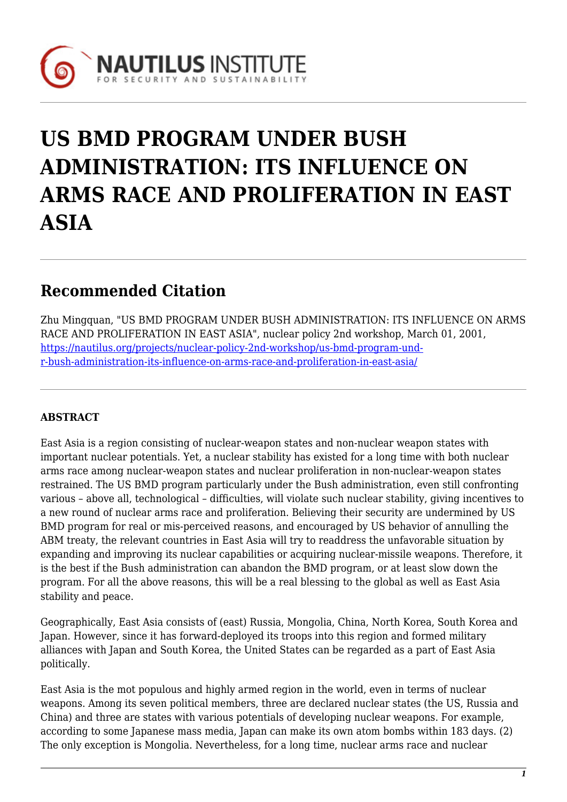

# **US BMD PROGRAM UNDER BUSH ADMINISTRATION: ITS INFLUENCE ON ARMS RACE AND PROLIFERATION IN EAST ASIA**

# **Recommended Citation**

Zhu Mingquan, "US BMD PROGRAM UNDER BUSH ADMINISTRATION: ITS INFLUENCE ON ARMS RACE AND PROLIFERATION IN EAST ASIA", nuclear policy 2nd workshop, March 01, 2001, [https://nautilus.org/projects/nuclear-policy-2nd-workshop/us-bmd-program-und](https://nautilus.org/projects/nuclear-policy-2nd-workshop/us-bmd-program-under-bush-administration-its-influence-on-arms-race-and-proliferation-in-east-asia/)[r-bush-administration-its-influence-on-arms-race-and-proliferation-in-east-asia/](https://nautilus.org/projects/nuclear-policy-2nd-workshop/us-bmd-program-under-bush-administration-its-influence-on-arms-race-and-proliferation-in-east-asia/)

# **ABSTRACT**

East Asia is a region consisting of nuclear-weapon states and non-nuclear weapon states with important nuclear potentials. Yet, a nuclear stability has existed for a long time with both nuclear arms race among nuclear-weapon states and nuclear proliferation in non-nuclear-weapon states restrained. The US BMD program particularly under the Bush administration, even still confronting various – above all, technological – difficulties, will violate such nuclear stability, giving incentives to a new round of nuclear arms race and proliferation. Believing their security are undermined by US BMD program for real or mis-perceived reasons, and encouraged by US behavior of annulling the ABM treaty, the relevant countries in East Asia will try to readdress the unfavorable situation by expanding and improving its nuclear capabilities or acquiring nuclear-missile weapons. Therefore, it is the best if the Bush administration can abandon the BMD program, or at least slow down the program. For all the above reasons, this will be a real blessing to the global as well as East Asia stability and peace.

Geographically, East Asia consists of (east) Russia, Mongolia, China, North Korea, South Korea and Japan. However, since it has forward-deployed its troops into this region and formed military alliances with Japan and South Korea, the United States can be regarded as a part of East Asia politically.

East Asia is the mot populous and highly armed region in the world, even in terms of nuclear weapons. Among its seven political members, three are declared nuclear states (the US, Russia and China) and three are states with various potentials of developing nuclear weapons. For example, according to some Japanese mass media, Japan can make its own atom bombs within 183 days. (2) The only exception is Mongolia. Nevertheless, for a long time, nuclear arms race and nuclear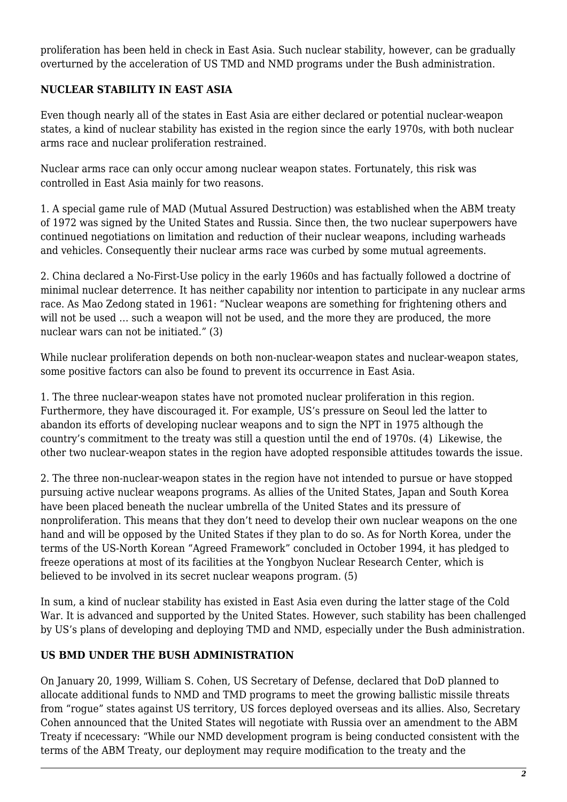proliferation has been held in check in East Asia. Such nuclear stability, however, can be gradually overturned by the acceleration of US TMD and NMD programs under the Bush administration.

## **NUCLEAR STABILITY IN EAST ASIA**

Even though nearly all of the states in East Asia are either declared or potential nuclear-weapon states, a kind of nuclear stability has existed in the region since the early 1970s, with both nuclear arms race and nuclear proliferation restrained.

Nuclear arms race can only occur among nuclear weapon states. Fortunately, this risk was controlled in East Asia mainly for two reasons.

1. A special game rule of MAD (Mutual Assured Destruction) was established when the ABM treaty of 1972 was signed by the United States and Russia. Since then, the two nuclear superpowers have continued negotiations on limitation and reduction of their nuclear weapons, including warheads and vehicles. Consequently their nuclear arms race was curbed by some mutual agreements.

2. China declared a No-First-Use policy in the early 1960s and has factually followed a doctrine of minimal nuclear deterrence. It has neither capability nor intention to participate in any nuclear arms race. As Mao Zedong stated in 1961: "Nuclear weapons are something for frightening others and will not be used … such a weapon will not be used, and the more they are produced, the more nuclear wars can not be initiated." (3)

While nuclear proliferation depends on both non-nuclear-weapon states and nuclear-weapon states, some positive factors can also be found to prevent its occurrence in East Asia.

1. The three nuclear-weapon states have not promoted nuclear proliferation in this region. Furthermore, they have discouraged it. For example, US's pressure on Seoul led the latter to abandon its efforts of developing nuclear weapons and to sign the NPT in 1975 although the country's commitment to the treaty was still a question until the end of 1970s. (4) Likewise, the other two nuclear-weapon states in the region have adopted responsible attitudes towards the issue.

2. The three non-nuclear-weapon states in the region have not intended to pursue or have stopped pursuing active nuclear weapons programs. As allies of the United States, Japan and South Korea have been placed beneath the nuclear umbrella of the United States and its pressure of nonproliferation. This means that they don't need to develop their own nuclear weapons on the one hand and will be opposed by the United States if they plan to do so. As for North Korea, under the terms of the US-North Korean "Agreed Framework" concluded in October 1994, it has pledged to freeze operations at most of its facilities at the Yongbyon Nuclear Research Center, which is believed to be involved in its secret nuclear weapons program. (5)

In sum, a kind of nuclear stability has existed in East Asia even during the latter stage of the Cold War. It is advanced and supported by the United States. However, such stability has been challenged by US's plans of developing and deploying TMD and NMD, especially under the Bush administration.

#### **US BMD UNDER THE BUSH ADMINISTRATION**

On January 20, 1999, William S. Cohen, US Secretary of Defense, declared that DoD planned to allocate additional funds to NMD and TMD programs to meet the growing ballistic missile threats from "rogue" states against US territory, US forces deployed overseas and its allies. Also, Secretary Cohen announced that the United States will negotiate with Russia over an amendment to the ABM Treaty if ncecessary: "While our NMD development program is being conducted consistent with the terms of the ABM Treaty, our deployment may require modification to the treaty and the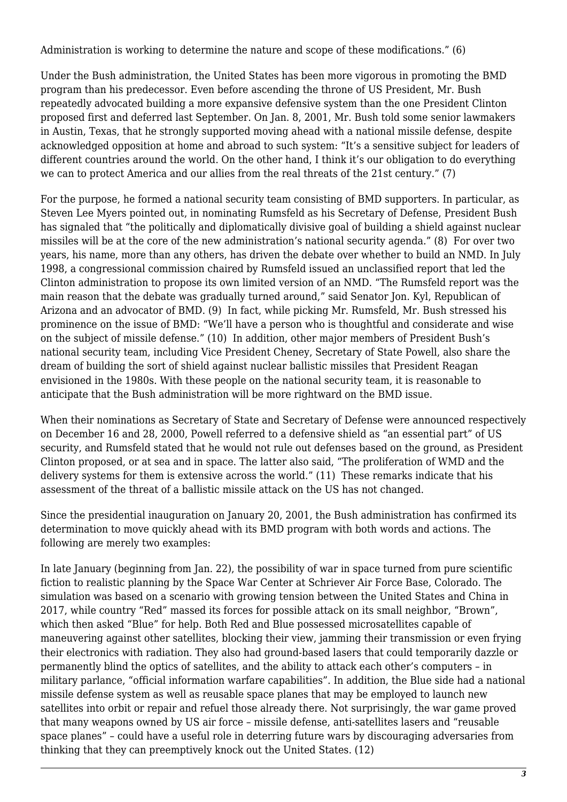Administration is working to determine the nature and scope of these modifications." (6)

Under the Bush administration, the United States has been more vigorous in promoting the BMD program than his predecessor. Even before ascending the throne of US President, Mr. Bush repeatedly advocated building a more expansive defensive system than the one President Clinton proposed first and deferred last September. On Jan. 8, 2001, Mr. Bush told some senior lawmakers in Austin, Texas, that he strongly supported moving ahead with a national missile defense, despite acknowledged opposition at home and abroad to such system: "It's a sensitive subject for leaders of different countries around the world. On the other hand, I think it's our obligation to do everything we can to protect America and our allies from the real threats of the 21st century." (7)

For the purpose, he formed a national security team consisting of BMD supporters. In particular, as Steven Lee Myers pointed out, in nominating Rumsfeld as his Secretary of Defense, President Bush has signaled that "the politically and diplomatically divisive goal of building a shield against nuclear missiles will be at the core of the new administration's national security agenda." (8) For over two years, his name, more than any others, has driven the debate over whether to build an NMD. In July 1998, a congressional commission chaired by Rumsfeld issued an unclassified report that led the Clinton administration to propose its own limited version of an NMD. "The Rumsfeld report was the main reason that the debate was gradually turned around," said Senator Jon. Kyl, Republican of Arizona and an advocator of BMD. (9) In fact, while picking Mr. Rumsfeld, Mr. Bush stressed his prominence on the issue of BMD: "We'll have a person who is thoughtful and considerate and wise on the subject of missile defense." (10) In addition, other major members of President Bush's national security team, including Vice President Cheney, Secretary of State Powell, also share the dream of building the sort of shield against nuclear ballistic missiles that President Reagan envisioned in the 1980s. With these people on the national security team, it is reasonable to anticipate that the Bush administration will be more rightward on the BMD issue.

When their nominations as Secretary of State and Secretary of Defense were announced respectively on December 16 and 28, 2000, Powell referred to a defensive shield as "an essential part" of US security, and Rumsfeld stated that he would not rule out defenses based on the ground, as President Clinton proposed, or at sea and in space. The latter also said, "The proliferation of WMD and the delivery systems for them is extensive across the world." (11) These remarks indicate that his assessment of the threat of a ballistic missile attack on the US has not changed.

Since the presidential inauguration on January 20, 2001, the Bush administration has confirmed its determination to move quickly ahead with its BMD program with both words and actions. The following are merely two examples:

In late January (beginning from Jan. 22), the possibility of war in space turned from pure scientific fiction to realistic planning by the Space War Center at Schriever Air Force Base, Colorado. The simulation was based on a scenario with growing tension between the United States and China in 2017, while country "Red" massed its forces for possible attack on its small neighbor, "Brown", which then asked "Blue" for help. Both Red and Blue possessed microsatellites capable of maneuvering against other satellites, blocking their view, jamming their transmission or even frying their electronics with radiation. They also had ground-based lasers that could temporarily dazzle or permanently blind the optics of satellites, and the ability to attack each other's computers – in military parlance, "official information warfare capabilities". In addition, the Blue side had a national missile defense system as well as reusable space planes that may be employed to launch new satellites into orbit or repair and refuel those already there. Not surprisingly, the war game proved that many weapons owned by US air force – missile defense, anti-satellites lasers and "reusable space planes" – could have a useful role in deterring future wars by discouraging adversaries from thinking that they can preemptively knock out the United States. (12)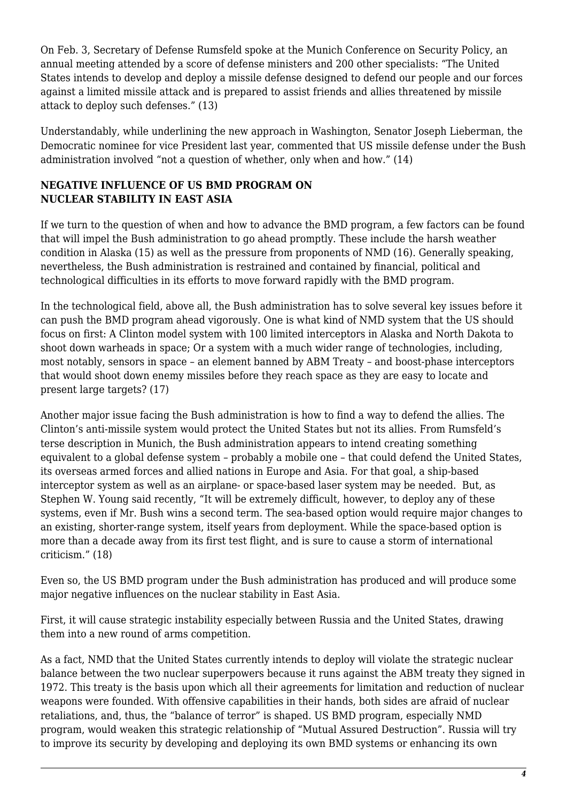On Feb. 3, Secretary of Defense Rumsfeld spoke at the Munich Conference on Security Policy, an annual meeting attended by a score of defense ministers and 200 other specialists: "The United States intends to develop and deploy a missile defense designed to defend our people and our forces against a limited missile attack and is prepared to assist friends and allies threatened by missile attack to deploy such defenses." (13)

Understandably, while underlining the new approach in Washington, Senator Joseph Lieberman, the Democratic nominee for vice President last year, commented that US missile defense under the Bush administration involved "not a question of whether, only when and how." (14)

### **NEGATIVE INFLUENCE OF US BMD PROGRAM ON NUCLEAR STABILITY IN EAST ASIA**

If we turn to the question of when and how to advance the BMD program, a few factors can be found that will impel the Bush administration to go ahead promptly. These include the harsh weather condition in Alaska (15) as well as the pressure from proponents of NMD (16). Generally speaking, nevertheless, the Bush administration is restrained and contained by financial, political and technological difficulties in its efforts to move forward rapidly with the BMD program.

In the technological field, above all, the Bush administration has to solve several key issues before it can push the BMD program ahead vigorously. One is what kind of NMD system that the US should focus on first: A Clinton model system with 100 limited interceptors in Alaska and North Dakota to shoot down warheads in space; Or a system with a much wider range of technologies, including, most notably, sensors in space – an element banned by ABM Treaty – and boost-phase interceptors that would shoot down enemy missiles before they reach space as they are easy to locate and present large targets? (17)

Another major issue facing the Bush administration is how to find a way to defend the allies. The Clinton's anti-missile system would protect the United States but not its allies. From Rumsfeld's terse description in Munich, the Bush administration appears to intend creating something equivalent to a global defense system - probably a mobile one - that could defend the United States, its overseas armed forces and allied nations in Europe and Asia. For that goal, a ship-based interceptor system as well as an airplane- or space-based laser system may be needed. But, as Stephen W. Young said recently, "It will be extremely difficult, however, to deploy any of these systems, even if Mr. Bush wins a second term. The sea-based option would require major changes to an existing, shorter-range system, itself years from deployment. While the space-based option is more than a decade away from its first test flight, and is sure to cause a storm of international criticism." (18)

Even so, the US BMD program under the Bush administration has produced and will produce some major negative influences on the nuclear stability in East Asia.

First, it will cause strategic instability especially between Russia and the United States, drawing them into a new round of arms competition.

As a fact, NMD that the United States currently intends to deploy will violate the strategic nuclear balance between the two nuclear superpowers because it runs against the ABM treaty they signed in 1972. This treaty is the basis upon which all their agreements for limitation and reduction of nuclear weapons were founded. With offensive capabilities in their hands, both sides are afraid of nuclear retaliations, and, thus, the "balance of terror" is shaped. US BMD program, especially NMD program, would weaken this strategic relationship of "Mutual Assured Destruction". Russia will try to improve its security by developing and deploying its own BMD systems or enhancing its own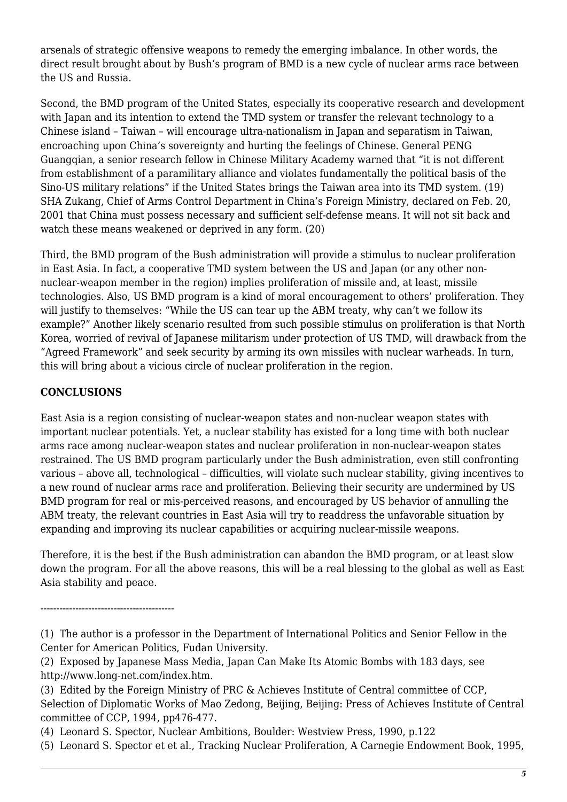arsenals of strategic offensive weapons to remedy the emerging imbalance. In other words, the direct result brought about by Bush's program of BMD is a new cycle of nuclear arms race between the US and Russia.

Second, the BMD program of the United States, especially its cooperative research and development with Japan and its intention to extend the TMD system or transfer the relevant technology to a Chinese island – Taiwan – will encourage ultra-nationalism in Japan and separatism in Taiwan, encroaching upon China's sovereignty and hurting the feelings of Chinese. General PENG Guangqian, a senior research fellow in Chinese Military Academy warned that "it is not different from establishment of a paramilitary alliance and violates fundamentally the political basis of the Sino-US military relations" if the United States brings the Taiwan area into its TMD system. (19) SHA Zukang, Chief of Arms Control Department in China's Foreign Ministry, declared on Feb. 20, 2001 that China must possess necessary and sufficient self-defense means. It will not sit back and watch these means weakened or deprived in any form. (20)

Third, the BMD program of the Bush administration will provide a stimulus to nuclear proliferation in East Asia. In fact, a cooperative TMD system between the US and Japan (or any other nonnuclear-weapon member in the region) implies proliferation of missile and, at least, missile technologies. Also, US BMD program is a kind of moral encouragement to others' proliferation. They will justify to themselves: "While the US can tear up the ABM treaty, why can't we follow its example?" Another likely scenario resulted from such possible stimulus on proliferation is that North Korea, worried of revival of Japanese militarism under protection of US TMD, will drawback from the "Agreed Framework" and seek security by arming its own missiles with nuclear warheads. In turn, this will bring about a vicious circle of nuclear proliferation in the region.

### **CONCLUSIONS**

East Asia is a region consisting of nuclear-weapon states and non-nuclear weapon states with important nuclear potentials. Yet, a nuclear stability has existed for a long time with both nuclear arms race among nuclear-weapon states and nuclear proliferation in non-nuclear-weapon states restrained. The US BMD program particularly under the Bush administration, even still confronting various – above all, technological – difficulties, will violate such nuclear stability, giving incentives to a new round of nuclear arms race and proliferation. Believing their security are undermined by US BMD program for real or mis-perceived reasons, and encouraged by US behavior of annulling the ABM treaty, the relevant countries in East Asia will try to readdress the unfavorable situation by expanding and improving its nuclear capabilities or acquiring nuclear-missile weapons.

Therefore, it is the best if the Bush administration can abandon the BMD program, or at least slow down the program. For all the above reasons, this will be a real blessing to the global as well as East Asia stability and peace.

------------------------------------------

- (4) Leonard S. Spector, Nuclear Ambitions, Boulder: Westview Press, 1990, p.122
- (5) Leonard S. Spector et et al., Tracking Nuclear Proliferation, A Carnegie Endowment Book, 1995,

<sup>(1)</sup> The author is a professor in the Department of International Politics and Senior Fellow in the Center for American Politics, Fudan University.

<sup>(2)</sup> Exposed by Japanese Mass Media, Japan Can Make Its Atomic Bombs with 183 days, see http://www.long-net.com/index.htm.

<sup>(3)</sup> Edited by the Foreign Ministry of PRC & Achieves Institute of Central committee of CCP, Selection of Diplomatic Works of Mao Zedong, Beijing, Beijing: Press of Achieves Institute of Central committee of CCP, 1994, pp476-477.